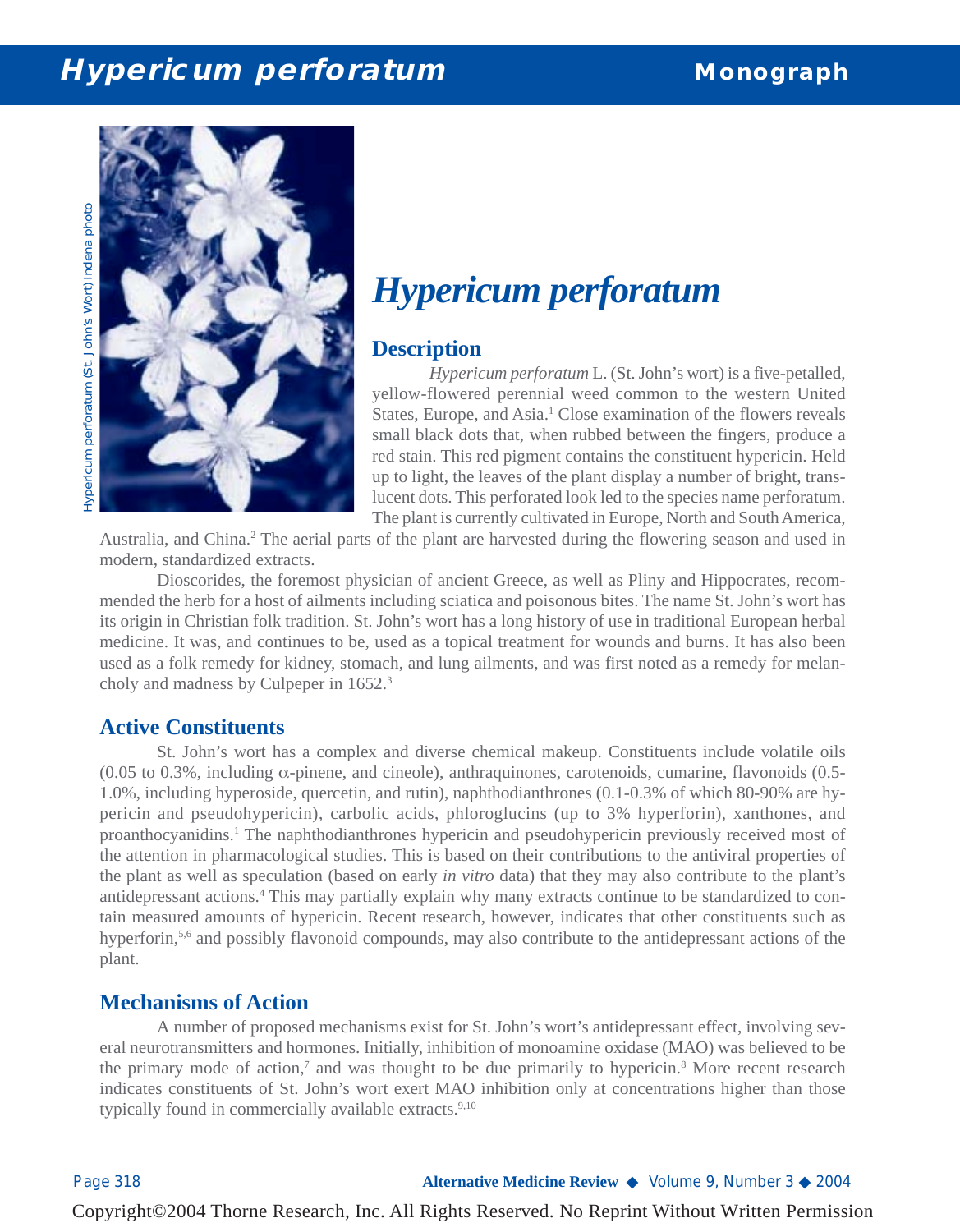# **Hypericum perforatum Monograph**

Hypericum perforatum (St. John's Wort) Indena photo *Hypericum perforatum* (St. John's Wort) Indena photo



# *Hypericum perforatum*

### **Description**

*Hypericum perforatum* L. (St. John's wort) is a five-petalled, yellow-flowered perennial weed common to the western United States, Europe, and Asia.<sup>1</sup> Close examination of the flowers reveals small black dots that, when rubbed between the fingers, produce a red stain. This red pigment contains the constituent hypericin. Held up to light, the leaves of the plant display a number of bright, translucent dots. This perforated look led to the species name perforatum. The plant is currently cultivated in Europe, North and South America,

Australia, and China.<sup>2</sup> The aerial parts of the plant are harvested during the flowering season and used in modern, standardized extracts.

Dioscorides, the foremost physician of ancient Greece, as well as Pliny and Hippocrates, recommended the herb for a host of ailments including sciatica and poisonous bites. The name St. John's wort has its origin in Christian folk tradition. St. John's wort has a long history of use in traditional European herbal medicine. It was, and continues to be, used as a topical treatment for wounds and burns. It has also been used as a folk remedy for kidney, stomach, and lung ailments, and was first noted as a remedy for melancholy and madness by Culpeper in 1652.3

#### **Active Constituents**

St. John's wort has a complex and diverse chemical makeup. Constituents include volatile oils (0.05 to 0.3%, including  $\alpha$ -pinene, and cineole), anthraquinones, carotenoids, cumarine, flavonoids (0.5-1.0%, including hyperoside, quercetin, and rutin), naphthodianthrones (0.1-0.3% of which 80-90% are hypericin and pseudohypericin), carbolic acids, phloroglucins (up to 3% hyperforin), xanthones, and proanthocyanidins.1 The naphthodianthrones hypericin and pseudohypericin previously received most of the attention in pharmacological studies. This is based on their contributions to the antiviral properties of the plant as well as speculation (based on early *in vitro* data) that they may also contribute to the plant's antidepressant actions.4 This may partially explain why many extracts continue to be standardized to contain measured amounts of hypericin. Recent research, however, indicates that other constituents such as hyperforin,<sup>5,6</sup> and possibly flavonoid compounds, may also contribute to the antidepressant actions of the plant.

#### **Mechanisms of Action**

A number of proposed mechanisms exist for St. John's wort's antidepressant effect, involving several neurotransmitters and hormones. Initially, inhibition of monoamine oxidase (MAO) was believed to be the primary mode of action,<sup>7</sup> and was thought to be due primarily to hypericin.<sup>8</sup> More recent research indicates constituents of St. John's wort exert MAO inhibition only at concentrations higher than those typically found in commercially available extracts.<sup>9,10</sup>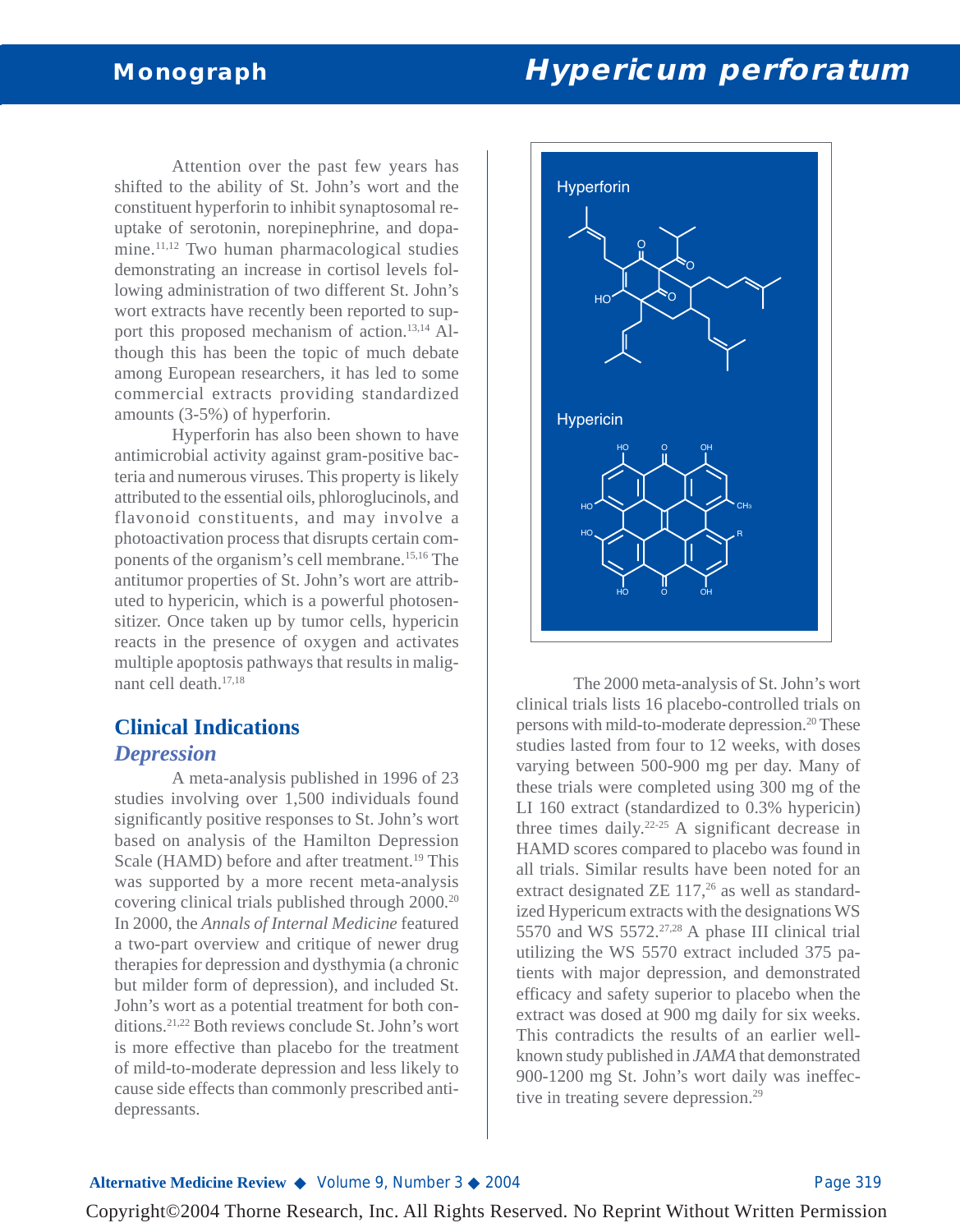Attention over the past few years has shifted to the ability of St. John's wort and the constituent hyperforin to inhibit synaptosomal reuptake of serotonin, norepinephrine, and dopamine.<sup>11,12</sup> Two human pharmacological studies demonstrating an increase in cortisol levels following administration of two different St. John's wort extracts have recently been reported to support this proposed mechanism of action.13,14 Although this has been the topic of much debate among European researchers, it has led to some commercial extracts providing standardized amounts (3-5%) of hyperforin.

Hyperforin has also been shown to have antimicrobial activity against gram-positive bacteria and numerous viruses. This property is likely attributed to the essential oils, phloroglucinols, and flavonoid constituents, and may involve a photoactivation process that disrupts certain components of the organism's cell membrane.15,16 The antitumor properties of St. John's wort are attributed to hypericin, which is a powerful photosensitizer. Once taken up by tumor cells, hypericin reacts in the presence of oxygen and activates multiple apoptosis pathways that results in malignant cell death.17,18

# **Clinical Indications**

#### *Depression*

A meta-analysis published in 1996 of 23 studies involving over 1,500 individuals found significantly positive responses to St. John's wort based on analysis of the Hamilton Depression Scale (HAMD) before and after treatment.<sup>19</sup> This was supported by a more recent meta-analysis covering clinical trials published through 2000.20 In 2000, the *Annals of Internal Medicine* featured a two-part overview and critique of newer drug therapies for depression and dysthymia (a chronic but milder form of depression), and included St. John's wort as a potential treatment for both conditions.21,22 Both reviews conclude St. John's wort is more effective than placebo for the treatment of mild-to-moderate depression and less likely to cause side effects than commonly prescribed antidepressants.



The 2000 meta-analysis of St. John's wort clinical trials lists 16 placebo-controlled trials on persons with mild-to-moderate depression.<sup>20</sup> These studies lasted from four to 12 weeks, with doses varying between 500-900 mg per day. Many of these trials were completed using 300 mg of the LI 160 extract (standardized to 0.3% hypericin) three times daily. $22-25$  A significant decrease in HAMD scores compared to placebo was found in all trials. Similar results have been noted for an extract designated ZE  $117<sup>26</sup>$  as well as standardized Hypericum extracts with the designations WS 5570 and WS 5572. $27,28$  A phase III clinical trial utilizing the WS 5570 extract included 375 patients with major depression, and demonstrated efficacy and safety superior to placebo when the extract was dosed at 900 mg daily for six weeks. This contradicts the results of an earlier wellknown study published in *JAMA* that demonstrated 900-1200 mg St. John's wort daily was ineffective in treating severe depression.<sup>29</sup>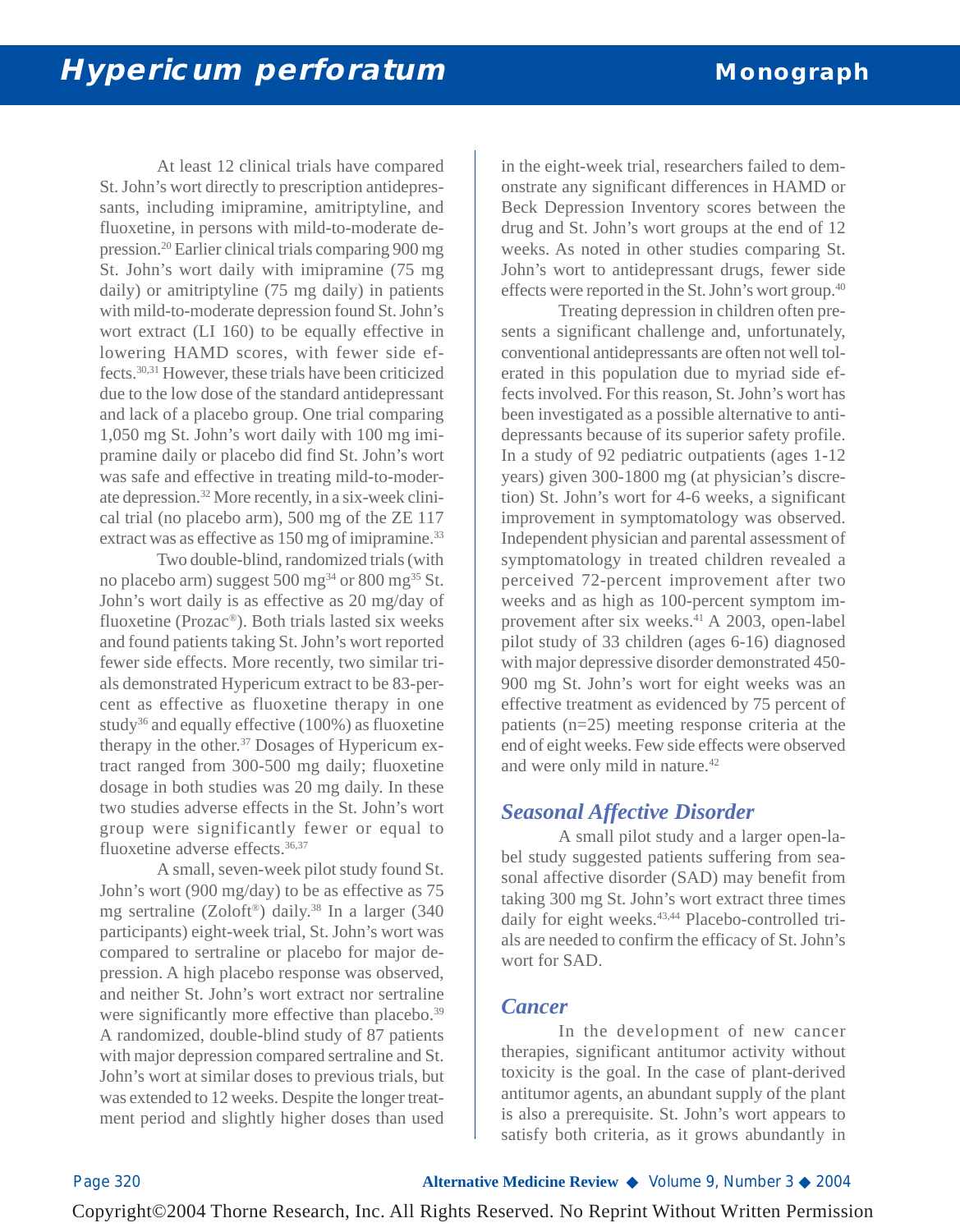At least 12 clinical trials have compared St. John's wort directly to prescription antidepressants, including imipramine, amitriptyline, and fluoxetine, in persons with mild-to-moderate depression.20 Earlier clinical trials comparing 900 mg St. John's wort daily with imipramine (75 mg daily) or amitriptyline (75 mg daily) in patients with mild-to-moderate depression found St. John's wort extract (LI 160) to be equally effective in lowering HAMD scores, with fewer side effects.30,31 However, these trials have been criticized due to the low dose of the standard antidepressant and lack of a placebo group. One trial comparing 1,050 mg St. John's wort daily with 100 mg imipramine daily or placebo did find St. John's wort was safe and effective in treating mild-to-moderate depression.32 More recently, in a six-week clinical trial (no placebo arm), 500 mg of the ZE 117 extract was as effective as 150 mg of imipramine.<sup>33</sup>

Two double-blind, randomized trials (with no placebo arm) suggest 500 mg<sup>34</sup> or 800 mg<sup>35</sup> St. John's wort daily is as effective as 20 mg/day of fluoxetine (Prozac®). Both trials lasted six weeks and found patients taking St. John's wort reported fewer side effects. More recently, two similar trials demonstrated Hypericum extract to be 83-percent as effective as fluoxetine therapy in one study<sup>36</sup> and equally effective  $(100\%)$  as fluoxetine therapy in the other.37 Dosages of Hypericum extract ranged from 300-500 mg daily; fluoxetine dosage in both studies was 20 mg daily. In these two studies adverse effects in the St. John's wort group were significantly fewer or equal to fluoxetine adverse effects.36,37

A small, seven-week pilot study found St. John's wort (900 mg/day) to be as effective as 75 mg sertraline (Zoloft<sup>®</sup>) daily.<sup>38</sup> In a larger (340 participants) eight-week trial, St. John's wort was compared to sertraline or placebo for major depression. A high placebo response was observed, and neither St. John's wort extract nor sertraline were significantly more effective than placebo.<sup>39</sup> A randomized, double-blind study of 87 patients with major depression compared sertraline and St. John's wort at similar doses to previous trials, but was extended to 12 weeks. Despite the longer treatment period and slightly higher doses than used

in the eight-week trial, researchers failed to demonstrate any significant differences in HAMD or Beck Depression Inventory scores between the drug and St. John's wort groups at the end of 12 weeks. As noted in other studies comparing St. John's wort to antidepressant drugs, fewer side effects were reported in the St. John's wort group.40

Treating depression in children often presents a significant challenge and, unfortunately, conventional antidepressants are often not well tolerated in this population due to myriad side effects involved. For this reason, St. John's wort has been investigated as a possible alternative to antidepressants because of its superior safety profile. In a study of 92 pediatric outpatients (ages 1-12 years) given 300-1800 mg (at physician's discretion) St. John's wort for 4-6 weeks, a significant improvement in symptomatology was observed. Independent physician and parental assessment of symptomatology in treated children revealed a perceived 72-percent improvement after two weeks and as high as 100-percent symptom improvement after six weeks.41 A 2003, open-label pilot study of 33 children (ages 6-16) diagnosed with major depressive disorder demonstrated 450- 900 mg St. John's wort for eight weeks was an effective treatment as evidenced by 75 percent of patients (n=25) meeting response criteria at the end of eight weeks. Few side effects were observed and were only mild in nature.42

## *Seasonal Affective Disorder*

A small pilot study and a larger open-label study suggested patients suffering from seasonal affective disorder (SAD) may benefit from taking 300 mg St. John's wort extract three times daily for eight weeks.<sup>43,44</sup> Placebo-controlled trials are needed to confirm the efficacy of St. John's wort for SAD.

#### *Cancer*

In the development of new cancer therapies, significant antitumor activity without toxicity is the goal. In the case of plant-derived antitumor agents, an abundant supply of the plant is also a prerequisite. St. John's wort appears to satisfy both criteria, as it grows abundantly in

Page 320 **Alternative Medicine Review** ◆ Volume 9, Number 3 ◆ 2004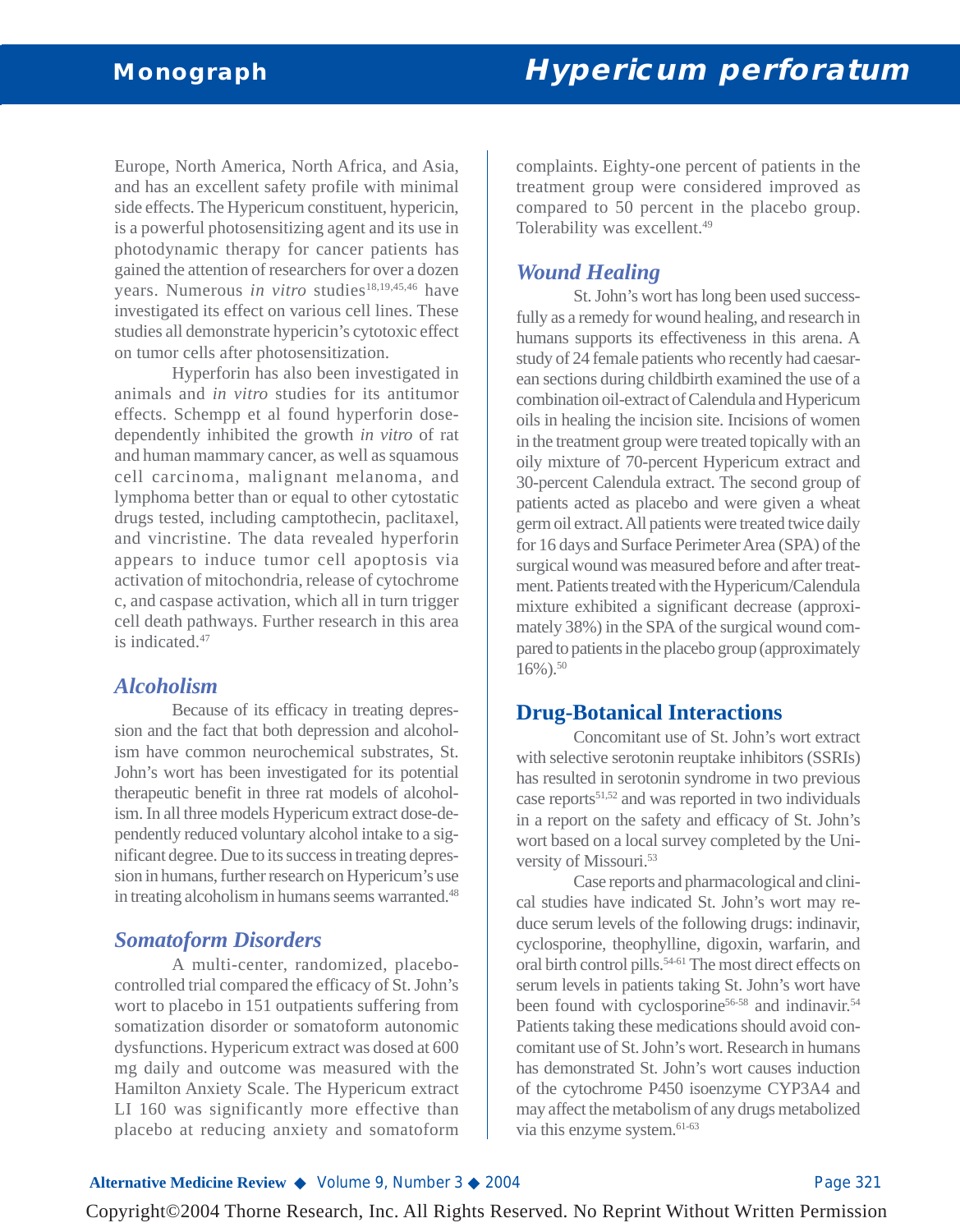Europe, North America, North Africa, and Asia, and has an excellent safety profile with minimal side effects. The Hypericum constituent, hypericin, is a powerful photosensitizing agent and its use in photodynamic therapy for cancer patients has gained the attention of researchers for over a dozen years. Numerous *in vitro* studies<sup>18,19,45,46</sup> have investigated its effect on various cell lines. These studies all demonstrate hypericin's cytotoxic effect on tumor cells after photosensitization.

Hyperforin has also been investigated in animals and *in vitro* studies for its antitumor effects. Schempp et al found hyperforin dosedependently inhibited the growth *in vitro* of rat and human mammary cancer, as well as squamous cell carcinoma, malignant melanoma, and lymphoma better than or equal to other cytostatic drugs tested, including camptothecin, paclitaxel, and vincristine. The data revealed hyperforin appears to induce tumor cell apoptosis via activation of mitochondria, release of cytochrome c, and caspase activation, which all in turn trigger cell death pathways. Further research in this area is indicated.47

#### *Alcoholism*

Because of its efficacy in treating depression and the fact that both depression and alcoholism have common neurochemical substrates, St. John's wort has been investigated for its potential therapeutic benefit in three rat models of alcoholism. In all three models Hypericum extract dose-dependently reduced voluntary alcohol intake to a significant degree. Due to its success in treating depression in humans, further research on Hypericum's use in treating alcoholism in humans seems warranted.<sup>48</sup>

## *Somatoform Disorders*

A multi-center, randomized, placebocontrolled trial compared the efficacy of St. John's wort to placebo in 151 outpatients suffering from somatization disorder or somatoform autonomic dysfunctions. Hypericum extract was dosed at 600 mg daily and outcome was measured with the Hamilton Anxiety Scale. The Hypericum extract LI 160 was significantly more effective than placebo at reducing anxiety and somatoform

complaints. Eighty-one percent of patients in the treatment group were considered improved as compared to 50 percent in the placebo group. Tolerability was excellent.<sup>49</sup>

## *Wound Healing*

St. John's wort has long been used successfully as a remedy for wound healing, and research in humans supports its effectiveness in this arena. A study of 24 female patients who recently had caesarean sections during childbirth examined the use of a combination oil-extract of Calendula and Hypericum oils in healing the incision site. Incisions of women in the treatment group were treated topically with an oily mixture of 70-percent Hypericum extract and 30-percent Calendula extract. The second group of patients acted as placebo and were given a wheat germ oil extract. All patients were treated twice daily for 16 days and Surface Perimeter Area (SPA) of the surgical wound was measured before and after treatment. Patients treated with the Hypericum/Calendula mixture exhibited a significant decrease (approximately 38%) in the SPA of the surgical wound compared to patients in the placebo group (approximately  $16\%$ ).<sup>50</sup>

## **Drug-Botanical Interactions**

Concomitant use of St. John's wort extract with selective serotonin reuptake inhibitors (SSRIs) has resulted in serotonin syndrome in two previous case reports51,52 and was reported in two individuals in a report on the safety and efficacy of St. John's wort based on a local survey completed by the University of Missouri.53

Case reports and pharmacological and clinical studies have indicated St. John's wort may reduce serum levels of the following drugs: indinavir, cyclosporine, theophylline, digoxin, warfarin, and oral birth control pills.54-61 The most direct effects on serum levels in patients taking St. John's wort have been found with cyclosporine<sup>56-58</sup> and indinavir.<sup>54</sup> Patients taking these medications should avoid concomitant use of St. John's wort. Research in humans has demonstrated St. John's wort causes induction of the cytochrome P450 isoenzyme CYP3A4 and may affect the metabolism of any drugs metabolized via this enzyme system.<sup>61-63</sup>

#### **Alternative Medicine Review ◆** Volume 9, Number 3 ◆ 2004 **Page 321** Page 321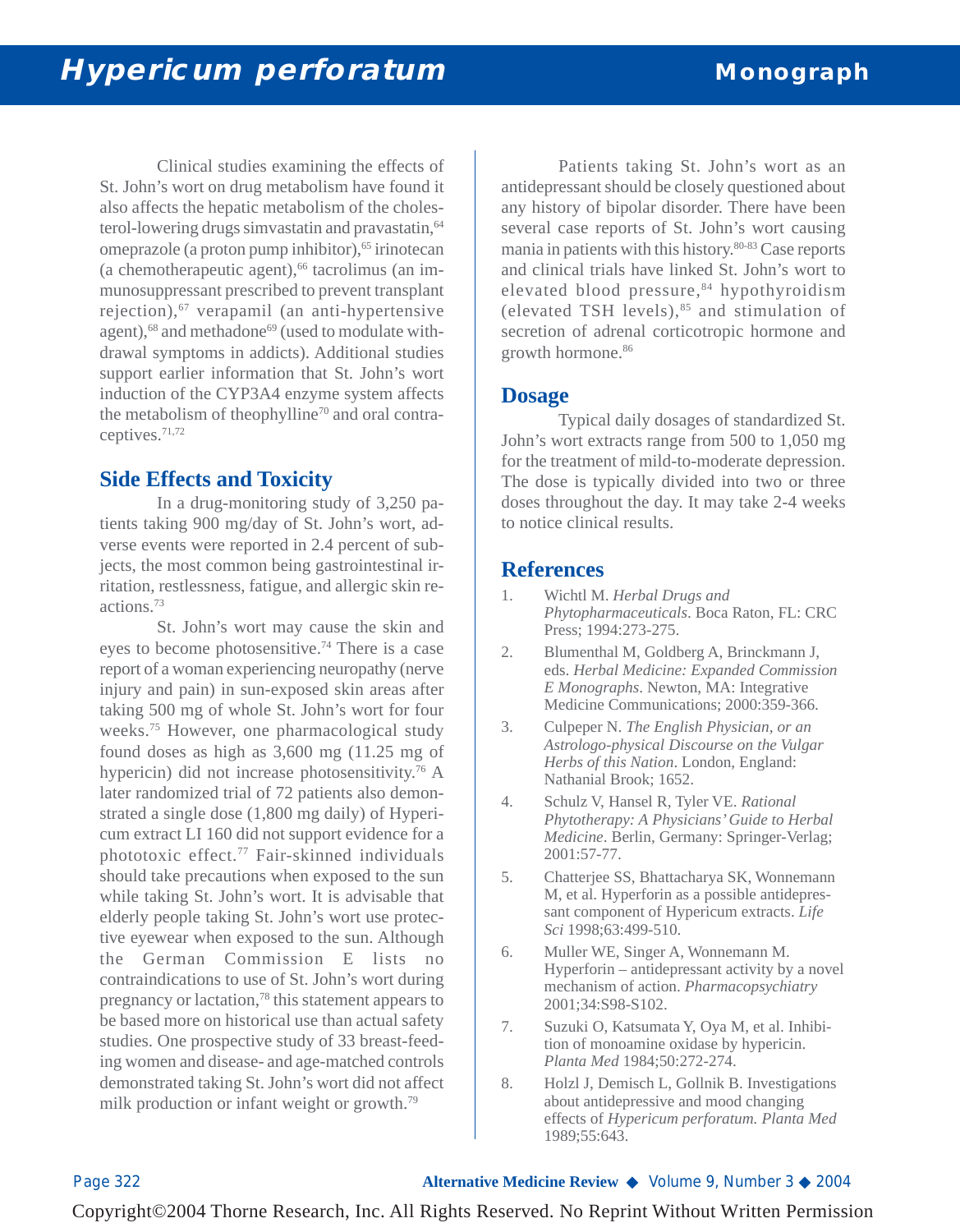Clinical studies examining the effects of St. John's wort on drug metabolism have found it also affects the hepatic metabolism of the cholesterol-lowering drugs simvastatin and pravastatin, <sup>64</sup> omeprazole (a proton pump inhibitor),<sup>65</sup> irinotecan (a chemotherapeutic agent),<sup>66</sup> tacrolimus (an immunosuppressant prescribed to prevent transplant rejection), $67$  verapamil (an anti-hypertensive agent),<sup>68</sup> and methadone<sup>69</sup> (used to modulate withdrawal symptoms in addicts). Additional studies support earlier information that St. John's wort induction of the CYP3A4 enzyme system affects the metabolism of theophylline<sup>70</sup> and oral contraceptives.71,72

## **Side Effects and Toxicity**

In a drug-monitoring study of 3,250 patients taking 900 mg/day of St. John's wort, adverse events were reported in 2.4 percent of subjects, the most common being gastrointestinal irritation, restlessness, fatigue, and allergic skin reactions.73

St. John's wort may cause the skin and eyes to become photosensitive.<sup>74</sup> There is a case report of a woman experiencing neuropathy (nerve injury and pain) in sun-exposed skin areas after taking 500 mg of whole St. John's wort for four weeks.75 However, one pharmacological study found doses as high as 3,600 mg (11.25 mg of hypericin) did not increase photosensitivity.<sup>76</sup> A later randomized trial of 72 patients also demonstrated a single dose (1,800 mg daily) of Hypericum extract LI 160 did not support evidence for a phototoxic effect.77 Fair-skinned individuals should take precautions when exposed to the sun while taking St. John's wort. It is advisable that elderly people taking St. John's wort use protective eyewear when exposed to the sun. Although the German Commission E lists no contraindications to use of St. John's wort during pregnancy or lactation,78 this statement appears to be based more on historical use than actual safety studies. One prospective study of 33 breast-feeding women and disease- and age-matched controls demonstrated taking St. John's wort did not affect milk production or infant weight or growth.<sup>79</sup>

Patients taking St. John's wort as an antidepressant should be closely questioned about any history of bipolar disorder. There have been several case reports of St. John's wort causing mania in patients with this history.80-83 Case reports and clinical trials have linked St. John's wort to elevated blood pressure, $84$  hypothyroidism (elevated TSH levels), $85$  and stimulation of secretion of adrenal corticotropic hormone and growth hormone.<sup>86</sup>

#### **Dosage**

Typical daily dosages of standardized St. John's wort extracts range from 500 to 1,050 mg for the treatment of mild-to-moderate depression. The dose is typically divided into two or three doses throughout the day. It may take 2-4 weeks to notice clinical results.

#### **References**

- 1. Wichtl M. *Herbal Drugs and Phytopharmaceuticals*. Boca Raton, FL: CRC Press; 1994:273-275.
- 2. Blumenthal M, Goldberg A, Brinckmann J, eds. *Herbal Medicine: Expanded Commission E Monographs*. Newton, MA: Integrative Medicine Communications; 2000:359-366.
- 3. Culpeper N. *The English Physician, or an Astrologo-physical Discourse on the Vulgar Herbs of this Nation*. London, England: Nathanial Brook; 1652.
- 4. Schulz V, Hansel R, Tyler VE. *Rational Phytotherapy: A Physicians' Guide to Herbal Medicine*. Berlin, Germany: Springer-Verlag; 2001:57-77.
- 5. Chatterjee SS, Bhattacharya SK, Wonnemann M, et al. Hyperforin as a possible antidepressant component of Hypericum extracts. *Life Sci* 1998;63:499-510.
- 6. Muller WE, Singer A, Wonnemann M. Hyperforin – antidepressant activity by a novel mechanism of action. *Pharmacopsychiatry* 2001;34:S98-S102.
- 7. Suzuki O, Katsumata Y, Oya M, et al. Inhibition of monoamine oxidase by hypericin. *Planta Med* 1984;50:272-274.
- 8. Holzl J, Demisch L, Gollnik B. Investigations about antidepressive and mood changing effects of *Hypericum perforatum. Planta Med* 1989;55:643.

Page 322 **Alternative Medicine Review** ◆ Volume 9, Number 3 ◆ 2004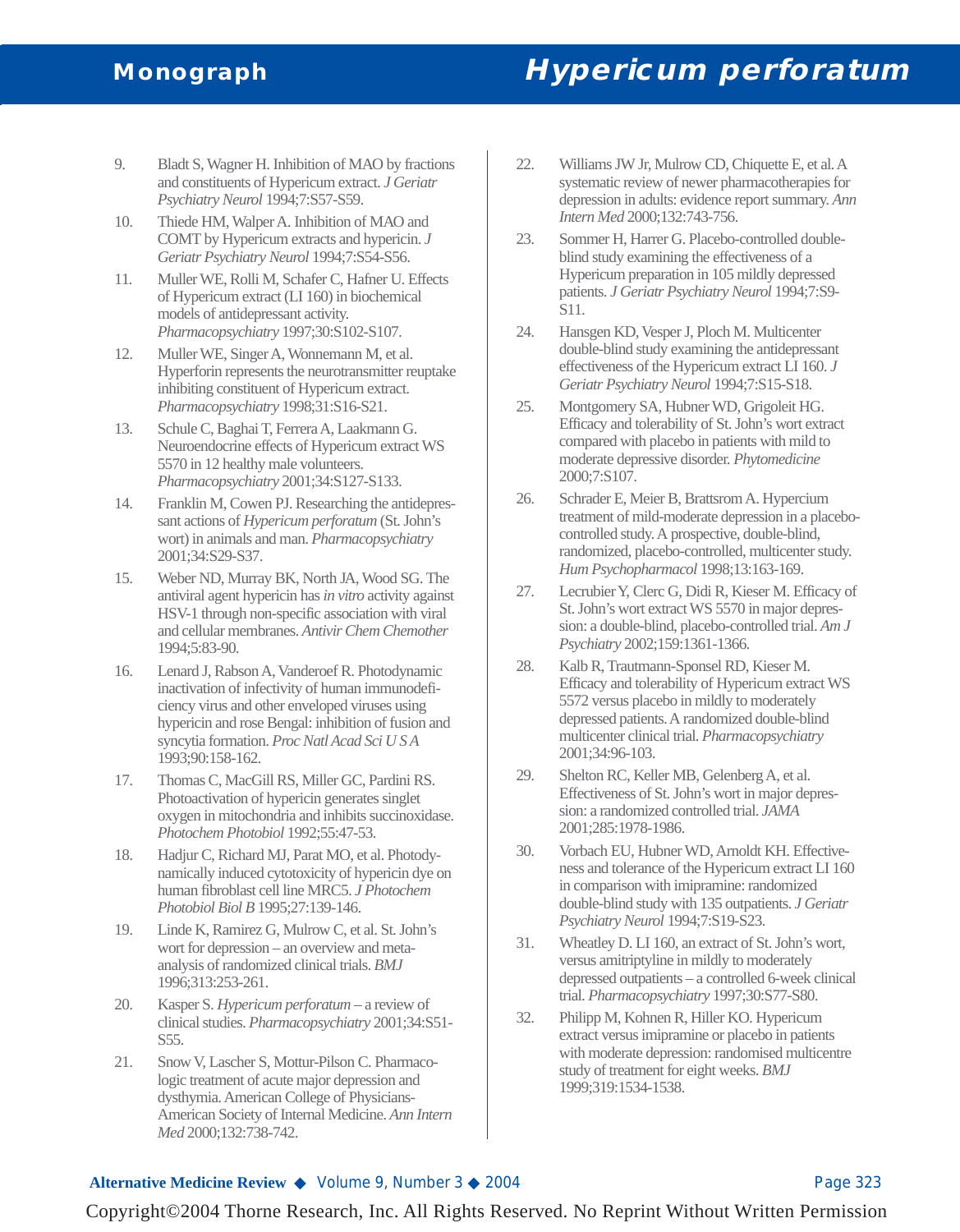# **Monograph Hypericum perforatum**

- 9. Bladt S, Wagner H. Inhibition of MAO by fractions and constituents of Hypericum extract. *J Geriatr Psychiatry Neurol* 1994;7:S57-S59.
- 10. Thiede HM, Walper A. Inhibition of MAO and COMT by Hypericum extracts and hypericin. *J Geriatr Psychiatry Neurol* 1994;7:S54-S56.
- 11. Muller WE, Rolli M, Schafer C, Hafner U. Effects of Hypericum extract (LI 160) in biochemical models of antidepressant activity. *Pharmacopsychiatry* 1997;30:S102-S107.
- 12. Muller WE, Singer A, Wonnemann M, et al. Hyperforin represents the neurotransmitter reuptake inhibiting constituent of Hypericum extract. *Pharmacopsychiatry* 1998;31:S16-S21.
- 13. Schule C, Baghai T, Ferrera A, Laakmann G. Neuroendocrine effects of Hypericum extract WS 5570 in 12 healthy male volunteers. *Pharmacopsychiatry* 2001;34:S127-S133.
- 14. Franklin M, Cowen PJ. Researching the antidepressant actions of *Hypericum perforatum* (St. John's wort) in animals and man. *Pharmacopsychiatry* 2001;34:S29-S37.
- 15. Weber ND, Murray BK, North JA, Wood SG. The antiviral agent hypericin has *in vitro* activity against HSV-1 through non-specific association with viral and cellular membranes. *Antivir Chem Chemother* 1994;5:83-90.
- 16. Lenard J, Rabson A, Vanderoef R. Photodynamic inactivation of infectivity of human immunodeficiency virus and other enveloped viruses using hypericin and rose Bengal: inhibition of fusion and syncytia formation. *Proc Natl Acad Sci U S A* 1993;90:158-162.
- 17. Thomas C, MacGill RS, Miller GC, Pardini RS. Photoactivation of hypericin generates singlet oxygen in mitochondria and inhibits succinoxidase. *Photochem Photobiol* 1992;55:47-53.
- 18. Hadjur C, Richard MJ, Parat MO, et al. Photodynamically induced cytotoxicity of hypericin dye on human fibroblast cell line MRC5. *J Photochem Photobiol Biol B* 1995;27:139-146.
- 19. Linde K, Ramirez G, Mulrow C, et al. St. John's wort for depression – an overview and metaanalysis of randomized clinical trials. *BMJ* 1996;313:253-261.
- 20. Kasper S. *Hypericum perforatum* a review of clinical studies. *Pharmacopsychiatry* 2001;34:S51- S55.
- 21. Snow V, Lascher S, Mottur-Pilson C. Pharmacologic treatment of acute major depression and dysthymia. American College of Physicians-American Society of Internal Medicine. *Ann Intern Med* 2000;132:738-742.
- 22. Williams JW Jr, Mulrow CD, Chiquette E, et al. A systematic review of newer pharmacotherapies for depression in adults: evidence report summary. *Ann Intern Med* 2000;132:743-756.
- 23. Sommer H, Harrer G. Placebo-controlled doubleblind study examining the effectiveness of a Hypericum preparation in 105 mildly depressed patients. *J Geriatr Psychiatry Neurol* 1994;7:S9- S11.
- 24. Hansgen KD, Vesper J, Ploch M. Multicenter double-blind study examining the antidepressant effectiveness of the Hypericum extract LI 160. *J Geriatr Psychiatry Neurol* 1994;7:S15-S18.
- 25. Montgomery SA, Hubner WD, Grigoleit HG. Efficacy and tolerability of St. John's wort extract compared with placebo in patients with mild to moderate depressive disorder. *Phytomedicine* 2000;7:S107.
- 26. Schrader E, Meier B, Brattsrom A. Hypercium treatment of mild-moderate depression in a placebocontrolled study. A prospective, double-blind, randomized, placebo-controlled, multicenter study. *Hum Psychopharmacol* 1998;13:163-169.
- 27. Lecrubier Y, Clerc G, Didi R, Kieser M. Efficacy of St. John's wort extract WS 5570 in major depression: a double-blind, placebo-controlled trial. *Am J Psychiatry* 2002;159:1361-1366.
- 28. Kalb R, Trautmann-Sponsel RD, Kieser M. Efficacy and tolerability of Hypericum extract WS 5572 versus placebo in mildly to moderately depressed patients. A randomized double-blind multicenter clinical trial. *Pharmacopsychiatry* 2001;34:96-103.
- 29. Shelton RC, Keller MB, Gelenberg A, et al. Effectiveness of St. John's wort in major depression: a randomized controlled trial. *JAMA* 2001;285:1978-1986.
- 30. Vorbach EU, Hubner WD, Arnoldt KH. Effectiveness and tolerance of the Hypericum extract LI 160 in comparison with imipramine: randomized double-blind study with 135 outpatients. *J Geriatr Psychiatry Neurol* 1994;7:S19-S23.
- 31. Wheatley D. LI 160, an extract of St. John's wort, versus amitriptyline in mildly to moderately depressed outpatients – a controlled 6-week clinical trial. *Pharmacopsychiatry* 1997;30:S77-S80.
- 32. Philipp M, Kohnen R, Hiller KO. Hypericum extract versus imipramine or placebo in patients with moderate depression: randomised multicentre study of treatment for eight weeks. *BMJ* 1999;319:1534-1538.

#### **Alternative Medicine Review ◆** Volume 9, Number 3 ◆ 2004 Page 323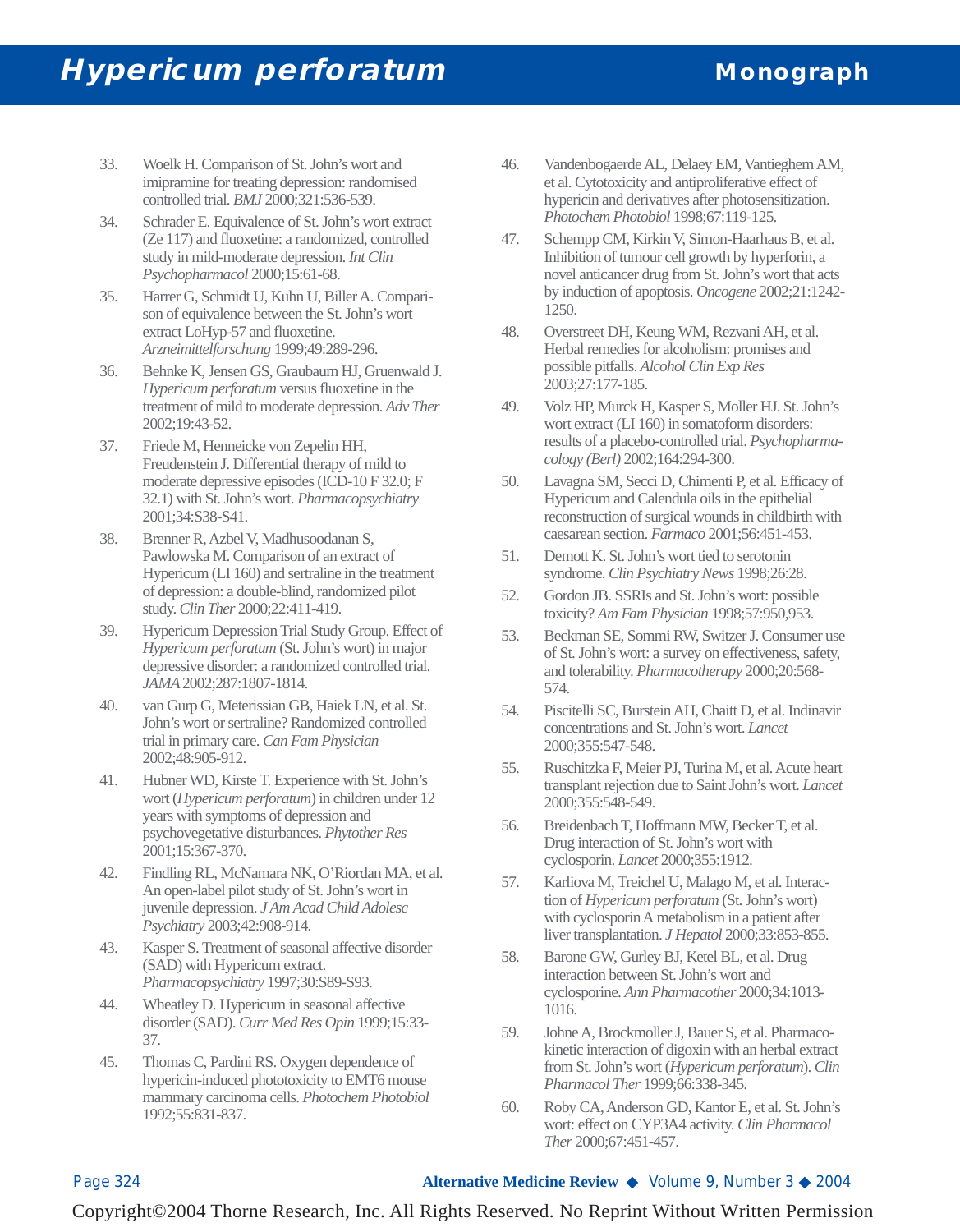- 33. Woelk H. Comparison of St. John's wort and imipramine for treating depression: randomised controlled trial. *BMJ* 2000;321:536-539.
- 34. Schrader E. Equivalence of St. John's wort extract (Ze 117) and fluoxetine: a randomized, controlled study in mild-moderate depression. *Int Clin Psychopharmacol* 2000;15:61-68.
- 35. Harrer G, Schmidt U, Kuhn U, Biller A. Comparison of equivalence between the St. John's wort extract LoHyp-57 and fluoxetine. *Arzneimittelforschung* 1999;49:289-296.
- 36. Behnke K, Jensen GS, Graubaum HJ, Gruenwald J. *Hypericum perforatum* versus fluoxetine in the treatment of mild to moderate depression. *Adv Ther* 2002;19:43-52.
- 37. Friede M, Henneicke von Zepelin HH, Freudenstein J. Differential therapy of mild to moderate depressive episodes (ICD-10 F 32.0; F 32.1) with St. John's wort. *Pharmacopsychiatry* 2001;34:S38-S41.
- 38. Brenner R, Azbel V, Madhusoodanan S, Pawlowska M. Comparison of an extract of Hypericum (LI 160) and sertraline in the treatment of depression: a double-blind, randomized pilot study. *Clin Ther* 2000;22:411-419.
- 39. Hypericum Depression Trial Study Group. Effect of *Hypericum perforatum* (St. John's wort) in major depressive disorder: a randomized controlled trial. *JAMA*2002;287:1807-1814.
- 40. van Gurp G, Meterissian GB, Haiek LN, et al. St. John's wort or sertraline? Randomized controlled trial in primary care. *Can Fam Physician* 2002;48:905-912.
- 41. Hubner WD, Kirste T. Experience with St. John's wort (*Hypericum perforatum*) in children under 12 years with symptoms of depression and psychovegetative disturbances. *Phytother Res* 2001;15:367-370.
- 42. Findling RL, McNamara NK, O'Riordan MA, et al. An open-label pilot study of St. John's wort in juvenile depression. *J Am Acad Child Adolesc Psychiatry* 2003;42:908-914.
- 43. Kasper S. Treatment of seasonal affective disorder (SAD) with Hypericum extract. *Pharmacopsychiatry* 1997;30:S89-S93.
- 44. Wheatley D. Hypericum in seasonal affective disorder (SAD). *Curr Med Res Opin* 1999;15:33- 37.
- 45. Thomas C, Pardini RS. Oxygen dependence of hypericin-induced phototoxicity to EMT6 mouse mammary carcinoma cells. *Photochem Photobiol* 1992;55:831-837.
- 46. Vandenbogaerde AL, Delaey EM, Vantieghem AM, et al. Cytotoxicity and antiproliferative effect of hypericin and derivatives after photosensitization. *Photochem Photobiol* 1998;67:119-125.
- 47. Schempp CM, Kirkin V, Simon-Haarhaus B, et al. Inhibition of tumour cell growth by hyperforin, a novel anticancer drug from St. John's wort that acts by induction of apoptosis. *Oncogene* 2002;21:1242- 1250.
- 48. Overstreet DH, Keung WM, Rezvani AH, et al. Herbal remedies for alcoholism: promises and possible pitfalls. *Alcohol Clin Exp Res* 2003;27:177-185.
- 49. Volz HP, Murck H, Kasper S, Moller HJ. St. John's wort extract (LI 160) in somatoform disorders: results of a placebo-controlled trial. *Psychopharmacology (Berl)* 2002;164:294-300.
- 50. Lavagna SM, Secci D, Chimenti P, et al. Efficacy of Hypericum and Calendula oils in the epithelial reconstruction of surgical wounds in childbirth with caesarean section. *Farmaco* 2001;56:451-453.
- 51. Demott K. St. John's wort tied to serotonin syndrome. *Clin Psychiatry News* 1998;26:28.
- 52. Gordon JB. SSRIs and St. John's wort: possible toxicity? *Am Fam Physician* 1998;57:950,953.
- 53. Beckman SE, Sommi RW, Switzer J. Consumer use of St. John's wort: a survey on effectiveness, safety, and tolerability. *Pharmacotherapy* 2000;20:568- 574.
- 54. Piscitelli SC, Burstein AH, Chaitt D, et al. Indinavir concentrations and St. John's wort. *Lancet* 2000;355:547-548.
- 55. Ruschitzka F, Meier PJ, Turina M, et al. Acute heart transplant rejection due to Saint John's wort. *Lancet* 2000;355:548-549.
- 56. Breidenbach T, Hoffmann MW, Becker T, et al. Drug interaction of St. John's wort with cyclosporin. *Lancet* 2000;355:1912.
- 57. Karliova M, Treichel U, Malago M, et al. Interaction of *Hypericum perforatum* (St. John's wort) with cyclosporin A metabolism in a patient after liver transplantation. *J Hepatol* 2000;33:853-855.
- 58. Barone GW, Gurley BJ, Ketel BL, et al. Drug interaction between St. John's wort and cyclosporine. *Ann Pharmacother* 2000;34:1013- 1016.
- 59. Johne A, Brockmoller J, Bauer S, et al. Pharmacokinetic interaction of digoxin with an herbal extract from St. John's wort (*Hypericum perforatum*). *Clin Pharmacol Ther* 1999;66:338-345.
- 60. Roby CA, Anderson GD, Kantor E, et al. St. John's wort: effect on CYP3A4 activity. *Clin Pharmacol Ther* 2000;67:451-457.

Page 324 **Alternative Medicine Review** ◆ Volume 9, Number 3 ◆ 2004